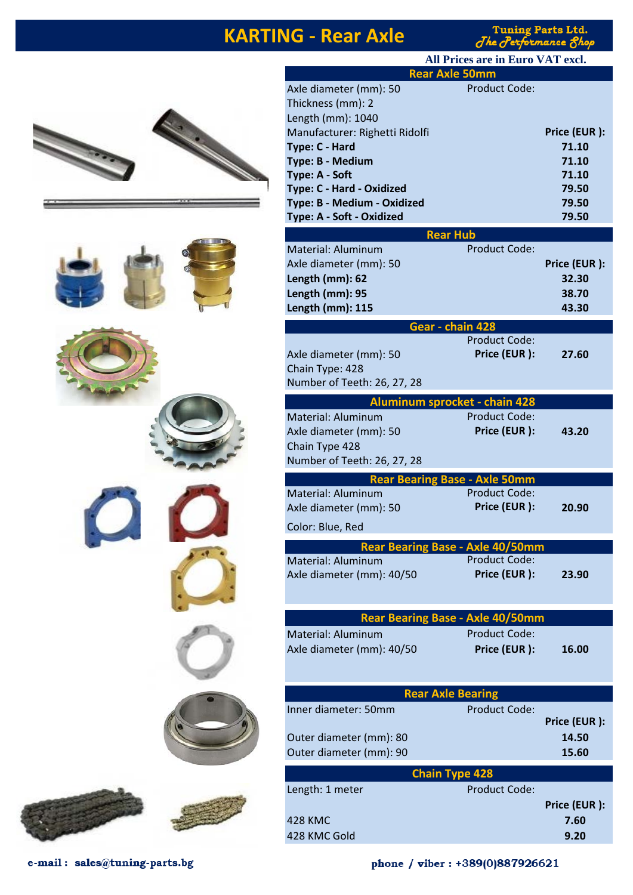#### **KARTING - Rear Axle**

**Tuning Parts Ltd.** The Performance 8h











**Rear Axle 50mm** Axle diameter (mm): 50 Thickness (mm): 2 Length (mm): 1040 Manufacturer: Righetti Ridolfi **Price (EUR ):** Price (EUR ): **Type: C - Hard 71.10 Type: B - Medium 71.10 Type: A - Soft 71.10 Type: C - Hard - Oxidized 79.50 Type: B - Medium - Oxidized 79.50 Type: A - Soft - Oxidized 79.50 Rear Hub**  Material: Aluminum Product Code: Axle diameter (mm): 50 **Price (EUR ): Length (mm): 62 32.30 Length (mm): 95 38.70 Length (mm): 115 43.30 Gear - chain 428** Product Code: Axle diameter (mm): 50 **Price (EUR ): 27.60** Chain Type: 428 Number of Teeth: 26, 27, 28 **Aluminum sprocket - chain 428** Material: Aluminum Product Code: Axle diameter (mm): 50 **Price (EUR ): 43.20** Chain Type 428 Number of Teeth: 26, 27, 28 **Rear Bearing Base - Axle 50mm** Material: Aluminum Axle diameter (mm): 50 **Price (EUR ): 20.90** Color: Blue, Red **Rear Bearing Base - Axle 40/50mm** Material: Aluminum Axle diameter (mm): 40/50 **Price (EUR ): 23.90 Rear Bearing Base - Axle 40/50mm** Material: Aluminum Product Code: Axle diameter (mm): 40/50 **Price (EUR ): 16.00 Rear Axle Bearing**  Inner diameter: 50mm Product Code: **Price (EUR ):** Outer diameter (mm): 80 **14.50** Outer diameter (mm): 90 **15.60 Chain Type 428** Length: 1 meter Product Code: **Price (EUR ):** 428 KMC **7.60** 428 KMC Gold **9.20 All Prices are in Euro VAT excl.**

e-mail: sales@tuning-parts.bg

phone / viber: +389(0)887926621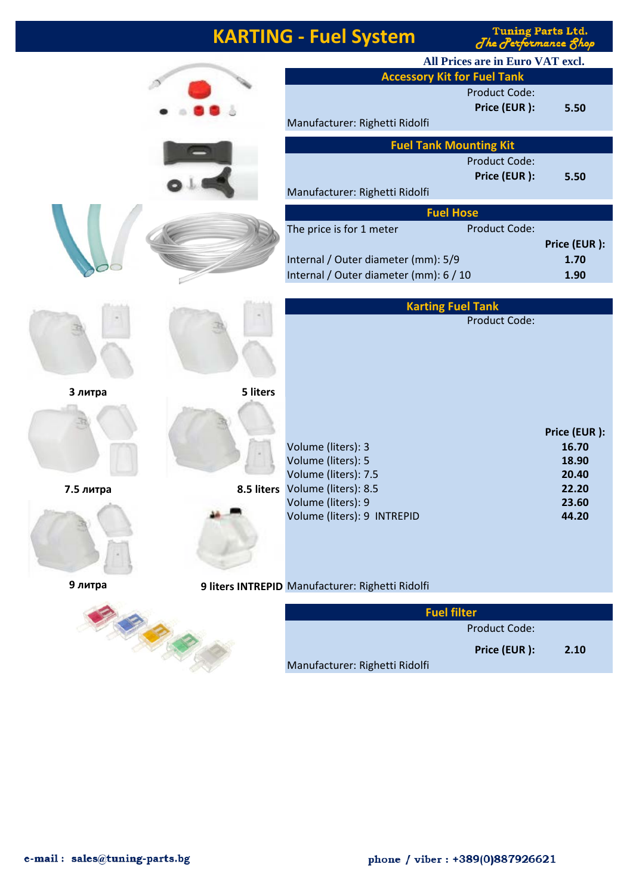| <b>KARTING - Fuel System</b> |  |
|------------------------------|--|
|------------------------------|--|

Tuning Parts Ltd.<br>The Performance Shop

|           |            |                                                  | All Prices are in Euro VAT excl. |                |
|-----------|------------|--------------------------------------------------|----------------------------------|----------------|
|           |            | <b>Accessory Kit for Fuel Tank</b>               |                                  |                |
|           |            |                                                  | <b>Product Code:</b>             |                |
|           |            |                                                  | Price (EUR):                     | 5.50           |
|           |            | Manufacturer: Righetti Ridolfi                   |                                  |                |
|           |            | <b>Fuel Tank Mounting Kit</b>                    |                                  |                |
|           |            |                                                  | Product Code:<br>Price (EUR):    | 5.50           |
|           |            | Manufacturer: Righetti Ridolfi                   |                                  |                |
|           |            | <b>Fuel Hose</b>                                 |                                  |                |
|           |            | The price is for 1 meter                         | <b>Product Code:</b>             |                |
|           |            |                                                  |                                  | Price (EUR):   |
|           |            | Internal / Outer diameter (mm): 5/9              |                                  | 1.70           |
|           |            | Internal / Outer diameter (mm): 6 / 10           |                                  | 1.90           |
|           |            | <b>Karting Fuel Tank</b>                         |                                  |                |
|           |            |                                                  | <b>Product Code:</b>             |                |
|           |            |                                                  |                                  |                |
|           |            |                                                  |                                  |                |
|           |            |                                                  |                                  |                |
| 3 литра   | 5 liters   |                                                  |                                  |                |
|           |            |                                                  |                                  |                |
|           |            |                                                  |                                  | Price (EUR):   |
|           |            | Volume (liters): 3                               |                                  | 16.70          |
|           |            | Volume (liters): 5<br>Volume (liters): 7.5       |                                  | 18.90<br>20.40 |
| 7.5 литра | 8.5 liters | Volume (liters): 8.5                             |                                  | 22.20          |
|           |            | Volume (liters): 9                               |                                  | 23.60          |
|           |            | Volume (liters): 9 INTREPID                      |                                  | 44.20          |
|           |            |                                                  |                                  |                |
|           |            |                                                  |                                  |                |
|           |            |                                                  |                                  |                |
| 9 литра   |            | 9 liters INTREPID Manufacturer: Righetti Ridolfi |                                  |                |
|           |            | <b>Fuel filter</b>                               |                                  |                |
|           |            |                                                  | Product Code:                    |                |
|           |            |                                                  | Price (EUR):                     | 2.10           |
|           |            | Manufacturer: Righetti Ridolfi                   |                                  |                |
|           |            |                                                  |                                  |                |

|      | <b>Fuel filter</b> |                                |
|------|--------------------|--------------------------------|
|      | Product Code:      |                                |
| 2.10 | Price (EUR):       |                                |
|      |                    | Manufacturer: Righetti Ridolfi |

 $\overline{\mathcal{L}}$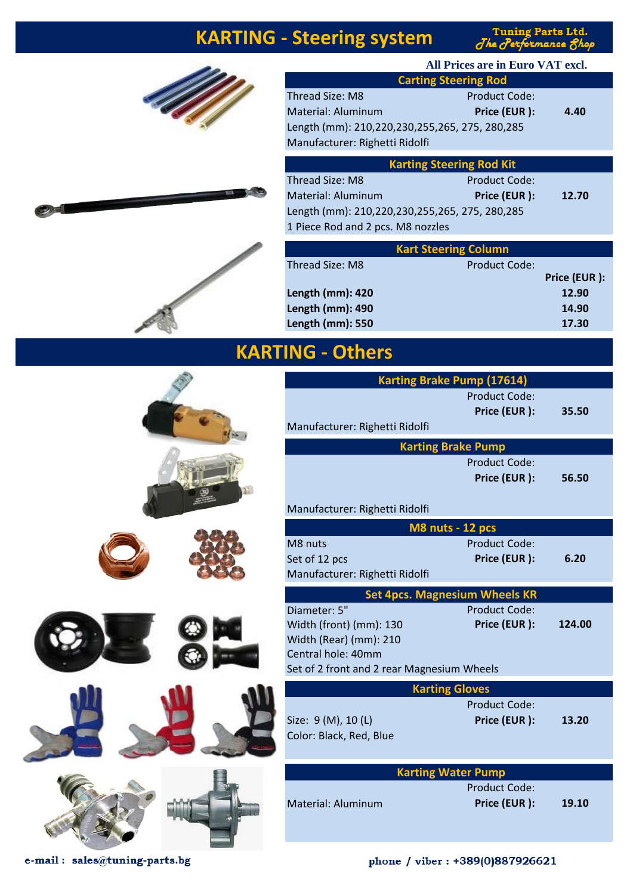## **KARTING - Steering system**

Tuning Parts Ltd.<br>The Performance Shop







z

| All Prices are in Euro VAT excl.               |                      |      |  |
|------------------------------------------------|----------------------|------|--|
| <b>Carting Steering Rod</b>                    |                      |      |  |
| Thread Size: M8                                | <b>Product Code:</b> |      |  |
| Material: Aluminum                             | Price (EUR):         | 4.40 |  |
| Length (mm): 210,220,230,255,265, 275, 280,285 |                      |      |  |
| Manufacturer: Righetti Ridolfi                 |                      |      |  |
|                                                |                      |      |  |

| <b>Karting Steering Rod Kit</b>                |                      |       |
|------------------------------------------------|----------------------|-------|
| Thread Size: M8                                | <b>Product Code:</b> |       |
| Material: Aluminum                             | Price (EUR):         | 12.70 |
| Length (mm): 210,220,230,255,265, 275, 280,285 |                      |       |
| 1 Piece Rod and 2 pcs. M8 nozzles              |                      |       |

|                  | <b>Kart Steering Column</b> |              |
|------------------|-----------------------------|--------------|
| Thread Size: M8  | Product Code:               |              |
|                  |                             | Price (EUR): |
| Length (mm): 420 |                             | 12.90        |
| Length (mm): 490 |                             | 14.90        |
| Length (mm): 550 |                             | 17.30        |

### **KARTING - Others**

| <b>Karting Brake Pump (17614)</b>                                                                                                     |                                      |        |
|---------------------------------------------------------------------------------------------------------------------------------------|--------------------------------------|--------|
| Manufacturer: Righetti Ridolfi                                                                                                        | <b>Product Code:</b><br>Price (EUR): | 35.50  |
| <b>Karting Brake Pump</b>                                                                                                             |                                      |        |
| Manufacturer: Righetti Ridolfi                                                                                                        | <b>Product Code:</b><br>Price (EUR): | 56.50  |
| M8 nuts - 12 pcs                                                                                                                      |                                      |        |
| M8 nuts<br>Set of 12 pcs<br>Manufacturer: Righetti Ridolfi                                                                            | <b>Product Code:</b><br>Price (EUR): | 6.20   |
| <b>Set 4pcs. Magnesium Wheels KR</b>                                                                                                  |                                      |        |
| Diameter: 5"<br>Width (front) (mm): 130<br>Width (Rear) (mm): 210<br>Central hole: 40mm<br>Set of 2 front and 2 rear Magnesium Wheels | <b>Product Code:</b><br>Price (EUR): | 124.00 |
| <b>Karting Gloves</b>                                                                                                                 |                                      |        |
| Size: 9 (M), 10 (L)<br>Color: Black, Red, Blue                                                                                        | <b>Product Code:</b><br>Price (EUR): | 13.20  |
| <b>Karting Water Pump</b>                                                                                                             |                                      |        |
| Material: Aluminum                                                                                                                    | <b>Product Code:</b><br>Price (EUR): | 19.10  |
|                                                                                                                                       |                                      |        |

e-mail: sales@tuning-parts.bg

#### phone / viber: +389(0)887926621